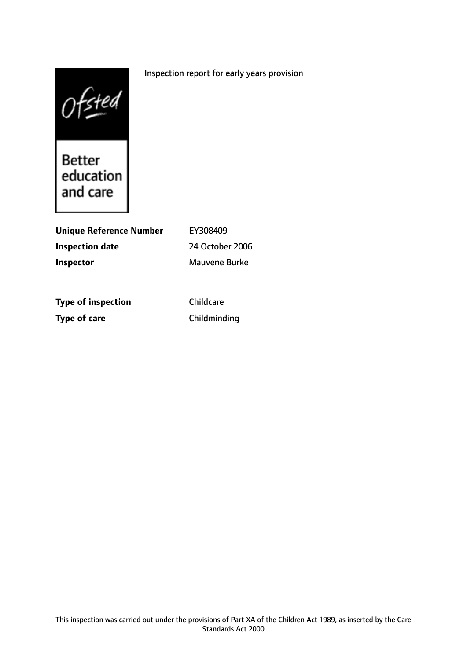# Inspection report for early years provision



and care

| Unique Reference Number | EY308409        |
|-------------------------|-----------------|
| Inspection date         | 24 October 2006 |
| Inspector               | Mauvene Burke   |
|                         |                 |

**Type of inspection** Childcare **Type of care** Childminding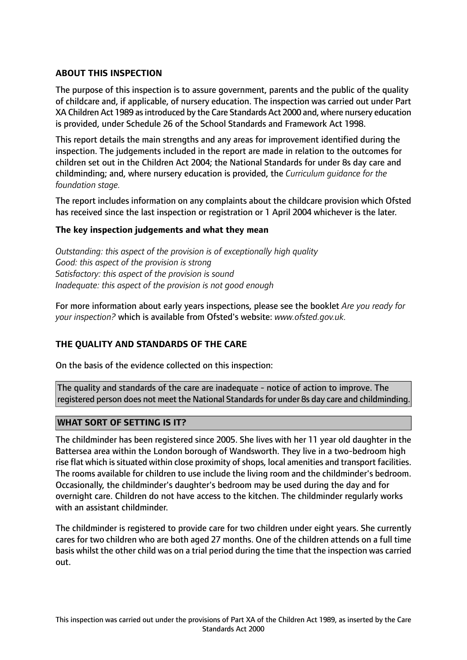# **ABOUT THIS INSPECTION**

The purpose of this inspection is to assure government, parents and the public of the quality of childcare and, if applicable, of nursery education. The inspection was carried out under Part XA Children Act 1989 asintroduced by the Care Standards Act 2000 and, where nursery education is provided, under Schedule 26 of the School Standards and Framework Act 1998.

This report details the main strengths and any areas for improvement identified during the inspection. The judgements included in the report are made in relation to the outcomes for children set out in the Children Act 2004; the National Standards for under 8s day care and childminding; and, where nursery education is provided, the *Curriculum guidance for the foundation stage.*

The report includes information on any complaints about the childcare provision which Ofsted has received since the last inspection or registration or 1 April 2004 whichever is the later.

## **The key inspection judgements and what they mean**

*Outstanding: this aspect of the provision is of exceptionally high quality Good: this aspect of the provision is strong Satisfactory: this aspect of the provision is sound Inadequate: this aspect of the provision is not good enough*

For more information about early years inspections, please see the booklet *Are you ready for your inspection?* which is available from Ofsted's website: *www.ofsted.gov.uk.*

## **THE QUALITY AND STANDARDS OF THE CARE**

On the basis of the evidence collected on this inspection:

The quality and standards of the care are inadequate - notice of action to improve. The registered person does not meet the National Standardsfor under 8s day care and childminding.

## **WHAT SORT OF SETTING IS IT?**

The childminder has been registered since 2005. She lives with her 11 year old daughter in the Battersea area within the London borough of Wandsworth. They live in a two-bedroom high rise flat which is situated within close proximity of shops, local amenities and transport facilities. The rooms available for children to use include the living room and the childminder's bedroom. Occasionally, the childminder's daughter's bedroom may be used during the day and for overnight care. Children do not have access to the kitchen. The childminder regularly works with an assistant childminder.

The childminder is registered to provide care for two children under eight years. She currently cares for two children who are both aged 27 months. One of the children attends on a full time basis whilst the other child was on a trial period during the time that the inspection was carried out.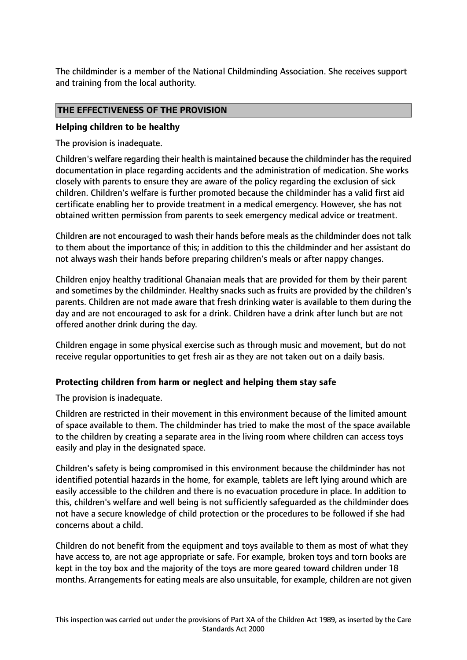The childminder is a member of the National Childminding Association. She receives support and training from the local authority.

## **THE EFFECTIVENESS OF THE PROVISION**

### **Helping children to be healthy**

The provision is inadequate.

Children's welfare regarding their health is maintained because the childminder hasthe required documentation in place regarding accidents and the administration of medication. She works closely with parents to ensure they are aware of the policy regarding the exclusion of sick children. Children's welfare is further promoted because the childminder has a valid first aid certificate enabling her to provide treatment in a medical emergency. However, she has not obtained written permission from parents to seek emergency medical advice or treatment.

Children are not encouraged to wash their hands before meals as the childminder does not talk to them about the importance of this; in addition to this the childminder and her assistant do not always wash their hands before preparing children's meals or after nappy changes.

Children enjoy healthy traditional Ghanaian meals that are provided for them by their parent and sometimes by the childminder. Healthy snacks such as fruits are provided by the children's parents. Children are not made aware that fresh drinking water is available to them during the day and are not encouraged to ask for a drink. Children have a drink after lunch but are not offered another drink during the day.

Children engage in some physical exercise such as through music and movement, but do not receive regular opportunities to get fresh air as they are not taken out on a daily basis.

## **Protecting children from harm or neglect and helping them stay safe**

The provision is inadequate.

Children are restricted in their movement in this environment because of the limited amount of space available to them. The childminder has tried to make the most of the space available to the children by creating a separate area in the living room where children can access toys easily and play in the designated space.

Children's safety is being compromised in this environment because the childminder has not identified potential hazards in the home, for example, tablets are left lying around which are easily accessible to the children and there is no evacuation procedure in place. In addition to this, children's welfare and well being is not sufficiently safeguarded as the childminder does not have a secure knowledge of child protection or the procedures to be followed if she had concerns about a child.

Children do not benefit from the equipment and toys available to them as most of what they have access to, are not age appropriate or safe. For example, broken toys and torn books are kept in the toy box and the majority of the toys are more geared toward children under 18 months. Arrangements for eating meals are also unsuitable, for example, children are not given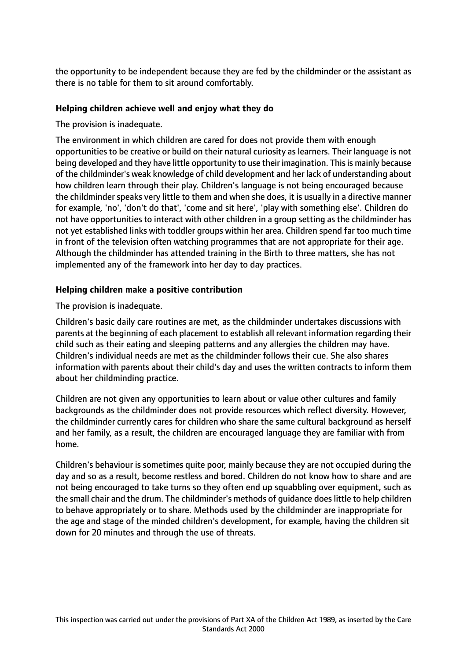the opportunity to be independent because they are fed by the childminder or the assistant as there is no table for them to sit around comfortably.

## **Helping children achieve well and enjoy what they do**

The provision is inadequate.

The environment in which children are cared for does not provide them with enough opportunities to be creative or build on their natural curiosity as learners. Their language is not being developed and they have little opportunity to use their imagination. This is mainly because of the childminder's weak knowledge of child development and her lack of understanding about how children learn through their play. Children's language is not being encouraged because the childminder speaks very little to them and when she does, it is usually in a directive manner for example, 'no', 'don't do that', 'come and sit here', 'play with something else'. Children do not have opportunities to interact with other children in a group setting as the childminder has not yet established links with toddler groups within her area. Children spend far too much time in front of the television often watching programmes that are not appropriate for their age. Although the childminder has attended training in the Birth to three matters, she has not implemented any of the framework into her day to day practices.

# **Helping children make a positive contribution**

The provision is inadequate.

Children's basic daily care routines are met, as the childminder undertakes discussions with parents at the beginning of each placement to establish all relevant information regarding their child such as their eating and sleeping patterns and any allergies the children may have. Children's individual needs are met as the childminder follows their cue. She also shares information with parents about their child's day and uses the written contracts to inform them about her childminding practice.

Children are not given any opportunities to learn about or value other cultures and family backgrounds as the childminder does not provide resources which reflect diversity. However, the childminder currently cares for children who share the same cultural background as herself and her family, as a result, the children are encouraged language they are familiar with from home.

Children's behaviour is sometimes quite poor, mainly because they are not occupied during the day and so as a result, become restless and bored. Children do not know how to share and are not being encouraged to take turns so they often end up squabbling over equipment, such as the small chair and the drum. The childminder's methods of guidance does little to help children to behave appropriately or to share. Methods used by the childminder are inappropriate for the age and stage of the minded children's development, for example, having the children sit down for 20 minutes and through the use of threats.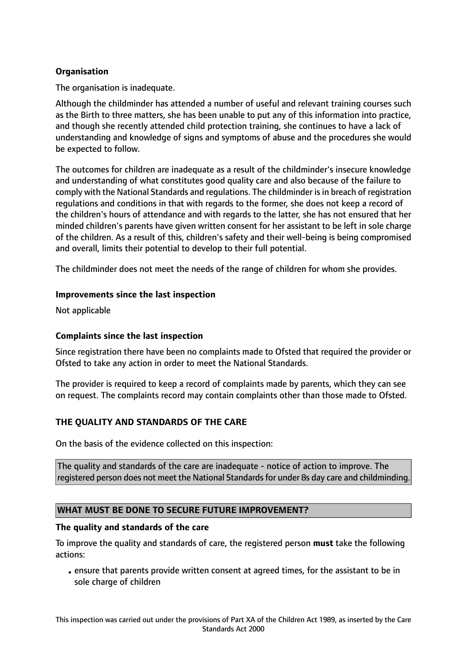# **Organisation**

The organisation is inadequate.

Although the childminder has attended a number of useful and relevant training courses such as the Birth to three matters, she has been unable to put any of this information into practice, and though she recently attended child protection training, she continues to have a lack of understanding and knowledge of signs and symptoms of abuse and the procedures she would be expected to follow.

The outcomes for children are inadequate as a result of the childminder's insecure knowledge and understanding of what constitutes good quality care and also because of the failure to comply with the National Standards and regulations. The childminder is in breach of registration regulations and conditions in that with regards to the former, she does not keep a record of the children's hours of attendance and with regards to the latter, she has not ensured that her minded children's parents have given written consent for her assistant to be left in sole charge of the children. As a result of this, children's safety and their well-being is being compromised and overall, limits their potential to develop to their full potential.

The childminder does not meet the needs of the range of children for whom she provides.

#### **Improvements since the last inspection**

Not applicable

## **Complaints since the last inspection**

Since registration there have been no complaints made to Ofsted that required the provider or Ofsted to take any action in order to meet the National Standards.

The provider is required to keep a record of complaints made by parents, which they can see on request. The complaints record may contain complaints other than those made to Ofsted.

## **THE QUALITY AND STANDARDS OF THE CARE**

On the basis of the evidence collected on this inspection:

The quality and standards of the care are inadequate - notice of action to improve. The registered person does not meet the National Standards for under 8s day care and childminding.

## **WHAT MUST BE DONE TO SECURE FUTURE IMPROVEMENT?**

#### **The quality and standards of the care**

To improve the quality and standards of care, the registered person **must** take the following actions:

• ensure that parents provide written consent at agreed times, for the assistant to be in sole charge of children